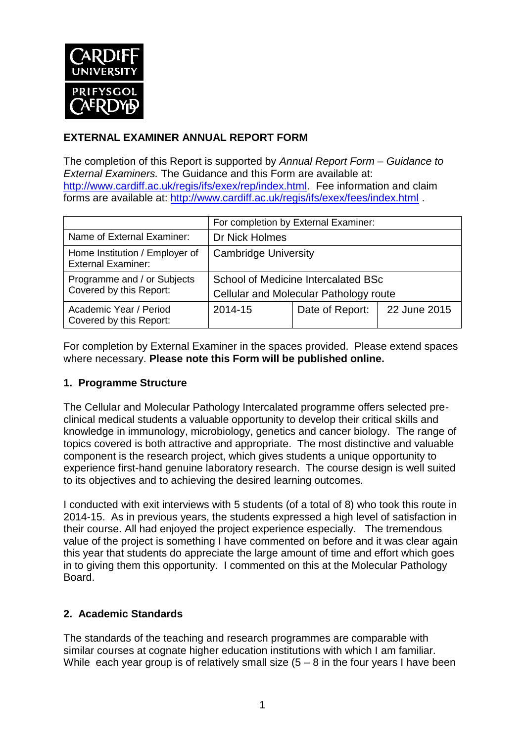

## **EXTERNAL EXAMINER ANNUAL REPORT FORM**

The completion of this Report is supported by *Annual Report Form – Guidance to External Examiners.* The Guidance and this Form are available at: [http://www.cardiff.ac.uk/regis/ifs/exex/rep/index.html.](http://www.cardiff.ac.uk/regis/ifs/exex/rep/index.html) Fee information and claim forms are available at:<http://www.cardiff.ac.uk/regis/ifs/exex/fees/index.html> .

|                                                             | For completion by External Examiner:                                          |                 |              |  |
|-------------------------------------------------------------|-------------------------------------------------------------------------------|-----------------|--------------|--|
| Name of External Examiner:                                  | Dr Nick Holmes                                                                |                 |              |  |
| Home Institution / Employer of<br><b>External Examiner:</b> | <b>Cambridge University</b>                                                   |                 |              |  |
| Programme and / or Subjects<br>Covered by this Report:      | School of Medicine Intercalated BSc<br>Cellular and Molecular Pathology route |                 |              |  |
| Academic Year / Period<br>Covered by this Report:           | 2014-15                                                                       | Date of Report: | 22 June 2015 |  |

For completion by External Examiner in the spaces provided. Please extend spaces where necessary. **Please note this Form will be published online.**

#### **1. Programme Structure**

The Cellular and Molecular Pathology Intercalated programme offers selected preclinical medical students a valuable opportunity to develop their critical skills and knowledge in immunology, microbiology, genetics and cancer biology. The range of topics covered is both attractive and appropriate. The most distinctive and valuable component is the research project, which gives students a unique opportunity to experience first-hand genuine laboratory research. The course design is well suited to its objectives and to achieving the desired learning outcomes.

I conducted with exit interviews with 5 students (of a total of 8) who took this route in 2014-15. As in previous years, the students expressed a high level of satisfaction in their course. All had enjoyed the project experience especially. The tremendous value of the project is something I have commented on before and it was clear again this year that students do appreciate the large amount of time and effort which goes in to giving them this opportunity. I commented on this at the Molecular Pathology Board.

#### **2. Academic Standards**

The standards of the teaching and research programmes are comparable with similar courses at cognate higher education institutions with which I am familiar. While each year group is of relatively small size  $(5 - 8)$  in the four years I have been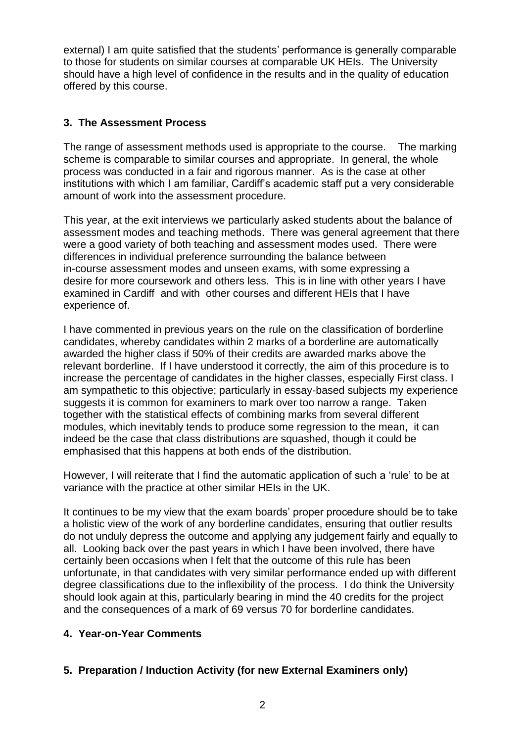external) I am quite satisfied that the students' performance is generally comparable to those for students on similar courses at comparable UK HEIs. The University should have a high level of confidence in the results and in the quality of education offered by this course.

### **3. The Assessment Process**

The range of assessment methods used is appropriate to the course. The marking scheme is comparable to similar courses and appropriate. In general, the whole process was conducted in a fair and rigorous manner. As is the case at other institutions with which I am familiar, Cardiff's academic staff put a very considerable amount of work into the assessment procedure.

This year, at the exit interviews we particularly asked students about the balance of assessment modes and teaching methods. There was general agreement that there were a good variety of both teaching and assessment modes used. There were differences in individual preference surrounding the balance between in-course assessment modes and unseen exams, with some expressing a desire for more coursework and others less. This is in line with other years I have examined in Cardiff and with other courses and different HEIs that I have experience of.

I have commented in previous years on the rule on the classification of borderline candidates, whereby candidates within 2 marks of a borderline are automatically awarded the higher class if 50% of their credits are awarded marks above the relevant borderline. If I have understood it correctly, the aim of this procedure is to increase the percentage of candidates in the higher classes, especially First class. I am sympathetic to this objective; particularly in essay-based subjects my experience suggests it is common for examiners to mark over too narrow a range. Taken together with the statistical effects of combining marks from several different modules, which inevitably tends to produce some regression to the mean, it can indeed be the case that class distributions are squashed, though it could be emphasised that this happens at both ends of the distribution.

However, I will reiterate that I find the automatic application of such a 'rule' to be at variance with the practice at other similar HEIs in the UK.

It continues to be my view that the exam boards' proper procedure should be to take a holistic view of the work of any borderline candidates, ensuring that outlier results do not unduly depress the outcome and applying any judgement fairly and equally to all. Looking back over the past years in which I have been involved, there have certainly been occasions when I felt that the outcome of this rule has been unfortunate, in that candidates with very similar performance ended up with different degree classifications due to the inflexibility of the process. I do think the University should look again at this, particularly bearing in mind the 40 credits for the project and the consequences of a mark of 69 versus 70 for borderline candidates.

#### **4. Year-on-Year Comments**

#### **5. Preparation / Induction Activity (for new External Examiners only)**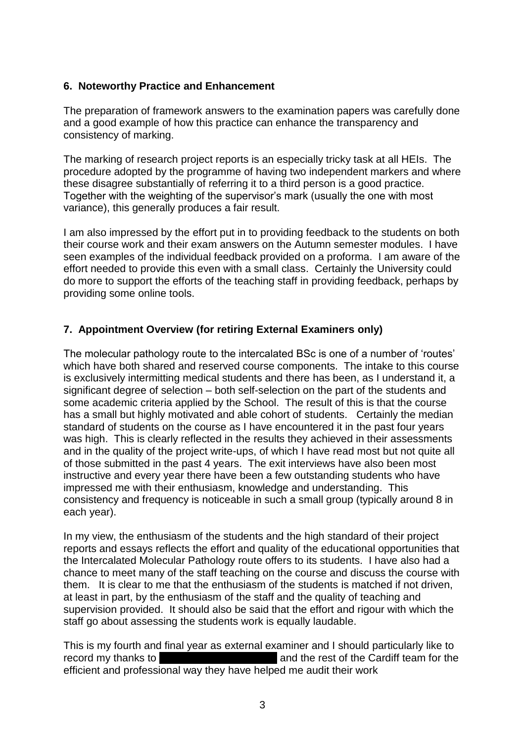#### **6. Noteworthy Practice and Enhancement**

The preparation of framework answers to the examination papers was carefully done and a good example of how this practice can enhance the transparency and consistency of marking.

The marking of research project reports is an especially tricky task at all HEIs. The procedure adopted by the programme of having two independent markers and where these disagree substantially of referring it to a third person is a good practice. Together with the weighting of the supervisor's mark (usually the one with most variance), this generally produces a fair result.

I am also impressed by the effort put in to providing feedback to the students on both their course work and their exam answers on the Autumn semester modules. I have seen examples of the individual feedback provided on a proforma. I am aware of the effort needed to provide this even with a small class. Certainly the University could do more to support the efforts of the teaching staff in providing feedback, perhaps by providing some online tools.

#### **7. Appointment Overview (for retiring External Examiners only)**

The molecular pathology route to the intercalated BSc is one of a number of 'routes' which have both shared and reserved course components. The intake to this course is exclusively intermitting medical students and there has been, as I understand it, a significant degree of selection – both self-selection on the part of the students and some academic criteria applied by the School. The result of this is that the course has a small but highly motivated and able cohort of students. Certainly the median standard of students on the course as I have encountered it in the past four years was high. This is clearly reflected in the results they achieved in their assessments and in the quality of the project write-ups, of which I have read most but not quite all of those submitted in the past 4 years. The exit interviews have also been most instructive and every year there have been a few outstanding students who have impressed me with their enthusiasm, knowledge and understanding. This consistency and frequency is noticeable in such a small group (typically around 8 in each year).

In my view, the enthusiasm of the students and the high standard of their project reports and essays reflects the effort and quality of the educational opportunities that the Intercalated Molecular Pathology route offers to its students. I have also had a chance to meet many of the staff teaching on the course and discuss the course with them. It is clear to me that the enthusiasm of the students is matched if not driven, at least in part, by the enthusiasm of the staff and the quality of teaching and supervision provided. It should also be said that the effort and rigour with which the staff go about assessing the students work is equally laudable.

This is my fourth and final year as external examiner and I should particularly like to record my thanks to **Dr** Carmen van den Berg and the rest of the Cardiff team for the efficient and professional way they have helped me audit their work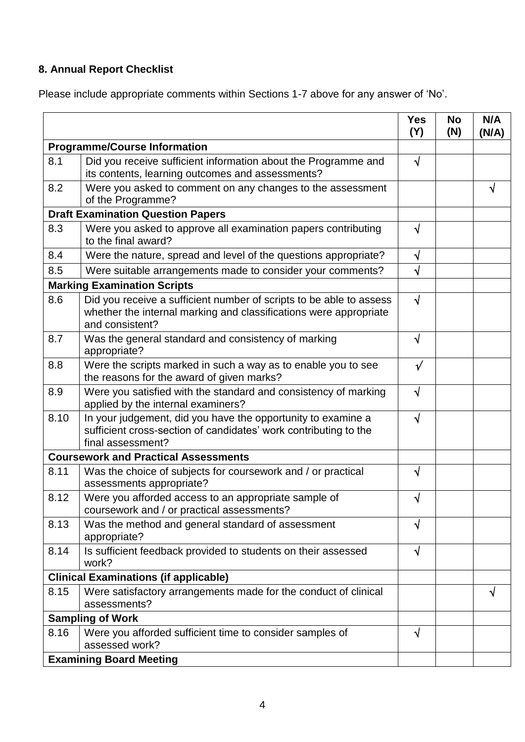# **8. Annual Report Checklist**

Please include appropriate comments within Sections 1-7 above for any answer of 'No'.

|                                             |                                                                                                                                                             | <b>Yes</b><br>(Y) | <b>No</b><br>(N) | N/A<br>(N/A) |
|---------------------------------------------|-------------------------------------------------------------------------------------------------------------------------------------------------------------|-------------------|------------------|--------------|
| <b>Programme/Course Information</b>         |                                                                                                                                                             |                   |                  |              |
| 8.1                                         | Did you receive sufficient information about the Programme and<br>its contents, learning outcomes and assessments?                                          | $\sqrt{ }$        |                  |              |
| 8.2                                         | Were you asked to comment on any changes to the assessment<br>of the Programme?                                                                             |                   |                  | ٦I           |
| <b>Draft Examination Question Papers</b>    |                                                                                                                                                             |                   |                  |              |
| 8.3                                         | Were you asked to approve all examination papers contributing<br>to the final award?                                                                        | √                 |                  |              |
| 8.4                                         | Were the nature, spread and level of the questions appropriate?                                                                                             | √                 |                  |              |
| 8.5                                         | Were suitable arrangements made to consider your comments?                                                                                                  | $\sqrt{}$         |                  |              |
| <b>Marking Examination Scripts</b>          |                                                                                                                                                             |                   |                  |              |
| 8.6                                         | Did you receive a sufficient number of scripts to be able to assess<br>whether the internal marking and classifications were appropriate<br>and consistent? | $\sqrt{ }$        |                  |              |
| 8.7                                         | Was the general standard and consistency of marking<br>appropriate?                                                                                         | N                 |                  |              |
| 8.8                                         | Were the scripts marked in such a way as to enable you to see<br>the reasons for the award of given marks?                                                  | $\sqrt{}$         |                  |              |
| 8.9                                         | Were you satisfied with the standard and consistency of marking<br>applied by the internal examiners?                                                       | $\sqrt{ }$        |                  |              |
| 8.10                                        | In your judgement, did you have the opportunity to examine a<br>sufficient cross-section of candidates' work contributing to the<br>final assessment?       | $\sqrt{ }$        |                  |              |
| <b>Coursework and Practical Assessments</b> |                                                                                                                                                             |                   |                  |              |
| 8.11                                        | Was the choice of subjects for coursework and / or practical<br>assessments appropriate?                                                                    | √                 |                  |              |
| 8.12                                        | Were you afforded access to an appropriate sample of<br>coursework and / or practical assessments?                                                          | V                 |                  |              |
| 8.13                                        | Was the method and general standard of assessment<br>appropriate?                                                                                           | N                 |                  |              |
| 8.14                                        | Is sufficient feedback provided to students on their assessed<br>work?                                                                                      | $\sqrt{ }$        |                  |              |
|                                             | <b>Clinical Examinations (if applicable)</b>                                                                                                                |                   |                  |              |
| 8.15                                        | Were satisfactory arrangements made for the conduct of clinical<br>assessments?                                                                             |                   |                  | V            |
|                                             | <b>Sampling of Work</b>                                                                                                                                     |                   |                  |              |
| 8.16                                        | Were you afforded sufficient time to consider samples of<br>assessed work?                                                                                  | $\sqrt{}$         |                  |              |
|                                             | <b>Examining Board Meeting</b>                                                                                                                              |                   |                  |              |